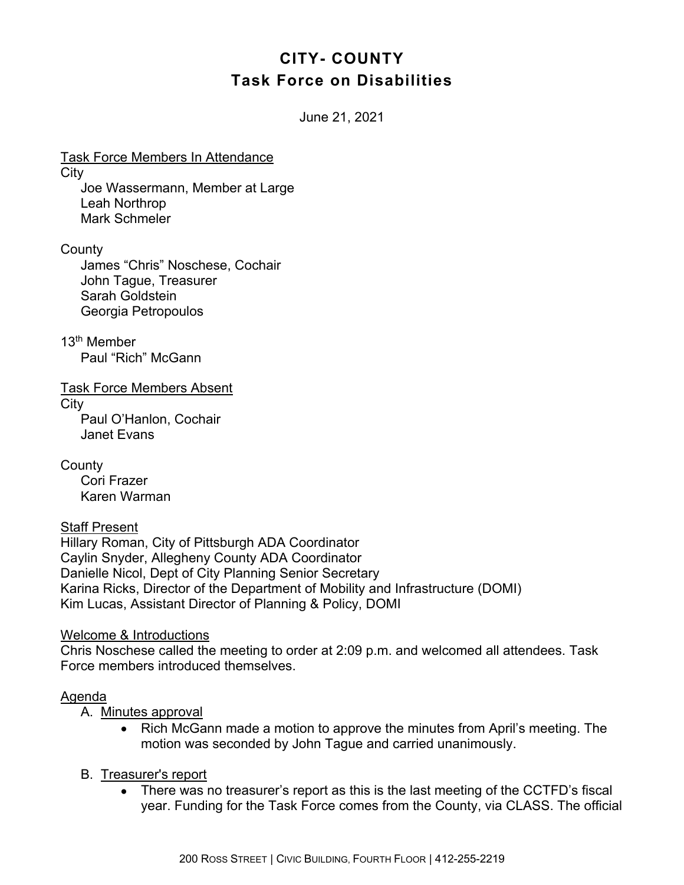# **CITY- COUNTY Task Force on Disabilities**

June 21, 2021

Task Force Members In Attendance **City** Joe Wassermann, Member at Large Leah Northrop Mark Schmeler

**County** 

James "Chris" Noschese, Cochair John Tague, Treasurer Sarah Goldstein Georgia Petropoulos

13th Member Paul "Rich" McGann

Task Force Members Absent

**City** 

Paul O'Hanlon, Cochair Janet Evans

County Cori Frazer Karen Warman

## Staff Present

Hillary Roman, City of Pittsburgh ADA Coordinator Caylin Snyder, Allegheny County ADA Coordinator Danielle Nicol, Dept of City Planning Senior Secretary Karina Ricks, Director of the Department of Mobility and Infrastructure (DOMI) Kim Lucas, Assistant Director of Planning & Policy, DOMI

#### Welcome & Introductions

Chris Noschese called the meeting to order at 2:09 p.m. and welcomed all attendees. Task Force members introduced themselves.

#### Agenda

A. Minutes approval

• Rich McGann made a motion to approve the minutes from April's meeting. The motion was seconded by John Tague and carried unanimously.

## B. Treasurer's report

• There was no treasurer's report as this is the last meeting of the CCTFD's fiscal year. Funding for the Task Force comes from the County, via CLASS. The official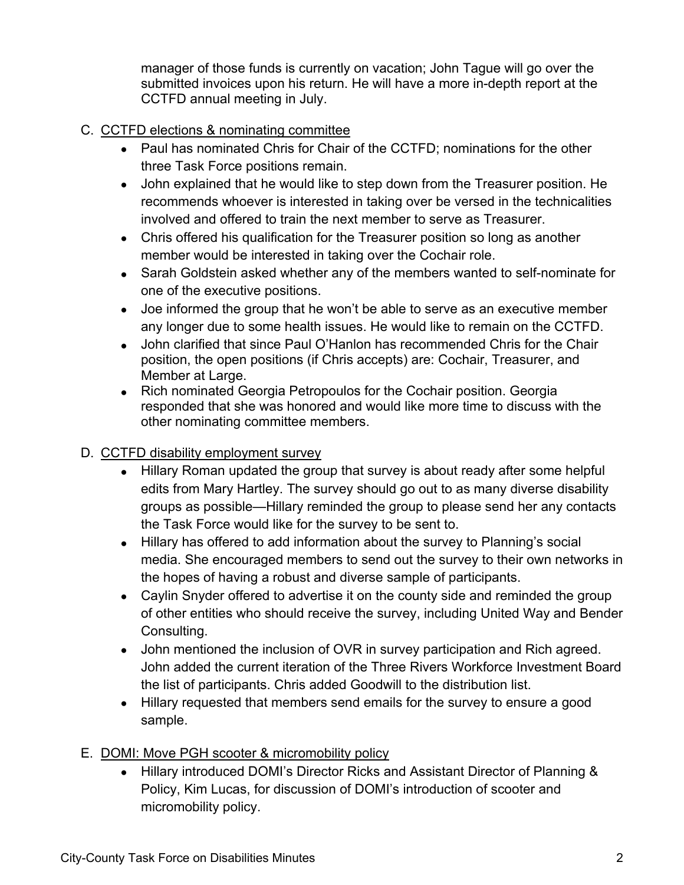manager of those funds is currently on vacation; John Tague will go over the submitted invoices upon his return. He will have a more in-depth report at the CCTFD annual meeting in July.

## C. CCTFD elections & nominating committee

- Paul has nominated Chris for Chair of the CCTFD; nominations for the other three Task Force positions remain.
- John explained that he would like to step down from the Treasurer position. He recommends whoever is interested in taking over be versed in the technicalities involved and offered to train the next member to serve as Treasurer.
- Chris offered his qualification for the Treasurer position so long as another member would be interested in taking over the Cochair role.
- Sarah Goldstein asked whether any of the members wanted to self-nominate for one of the executive positions.
- Joe informed the group that he won't be able to serve as an executive member any longer due to some health issues. He would like to remain on the CCTFD.
- John clarified that since Paul O'Hanlon has recommended Chris for the Chair position, the open positions (if Chris accepts) are: Cochair, Treasurer, and Member at Large.
- Rich nominated Georgia Petropoulos for the Cochair position. Georgia responded that she was honored and would like more time to discuss with the other nominating committee members.

# D. CCTFD disability employment survey

- Hillary Roman updated the group that survey is about ready after some helpful edits from Mary Hartley. The survey should go out to as many diverse disability groups as possible—Hillary reminded the group to please send her any contacts the Task Force would like for the survey to be sent to.
- Hillary has offered to add information about the survey to Planning's social media. She encouraged members to send out the survey to their own networks in the hopes of having a robust and diverse sample of participants.
- Caylin Snyder offered to advertise it on the county side and reminded the group of other entities who should receive the survey, including United Way and Bender Consulting.
- John mentioned the inclusion of OVR in survey participation and Rich agreed. John added the current iteration of the Three Rivers Workforce Investment Board the list of participants. Chris added Goodwill to the distribution list.
- Hillary requested that members send emails for the survey to ensure a good sample.
- E. DOMI: Move PGH scooter & micromobility policy
	- Hillary introduced DOMI's Director Ricks and Assistant Director of Planning & Policy, Kim Lucas, for discussion of DOMI's introduction of scooter and micromobility policy.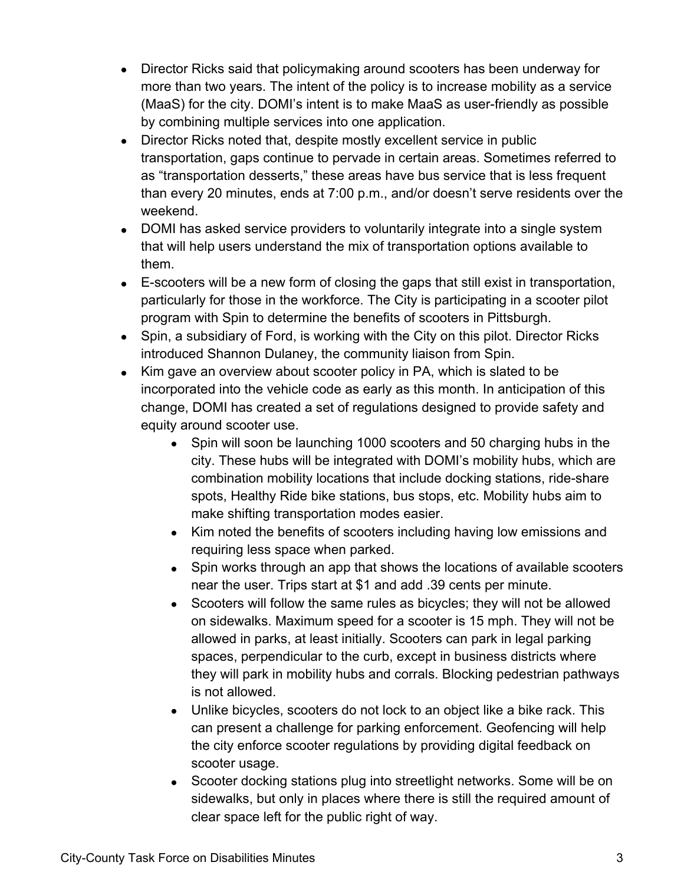- Director Ricks said that policymaking around scooters has been underway for more than two years. The intent of the policy is to increase mobility as a service (MaaS) for the city. DOMI's intent is to make MaaS as user-friendly as possible by combining multiple services into one application.
- Director Ricks noted that, despite mostly excellent service in public transportation, gaps continue to pervade in certain areas. Sometimes referred to as "transportation desserts," these areas have bus service that is less frequent than every 20 minutes, ends at 7:00 p.m., and/or doesn't serve residents over the weekend.
- DOMI has asked service providers to voluntarily integrate into a single system that will help users understand the mix of transportation options available to them.
- E-scooters will be a new form of closing the gaps that still exist in transportation, particularly for those in the workforce. The City is participating in a scooter pilot program with Spin to determine the benefits of scooters in Pittsburgh.
- Spin, a subsidiary of Ford, is working with the City on this pilot. Director Ricks introduced Shannon Dulaney, the community liaison from Spin.
- Kim gave an overview about scooter policy in PA, which is slated to be incorporated into the vehicle code as early as this month. In anticipation of this change, DOMI has created a set of regulations designed to provide safety and equity around scooter use.
	- Spin will soon be launching 1000 scooters and 50 charging hubs in the city. These hubs will be integrated with DOMI's mobility hubs, which are combination mobility locations that include docking stations, ride-share spots, Healthy Ride bike stations, bus stops, etc. Mobility hubs aim to make shifting transportation modes easier.
	- Kim noted the benefits of scooters including having low emissions and requiring less space when parked.
	- Spin works through an app that shows the locations of available scooters near the user. Trips start at \$1 and add .39 cents per minute.
	- Scooters will follow the same rules as bicycles; they will not be allowed on sidewalks. Maximum speed for a scooter is 15 mph. They will not be allowed in parks, at least initially. Scooters can park in legal parking spaces, perpendicular to the curb, except in business districts where they will park in mobility hubs and corrals. Blocking pedestrian pathways is not allowed.
	- Unlike bicycles, scooters do not lock to an object like a bike rack. This can present a challenge for parking enforcement. Geofencing will help the city enforce scooter regulations by providing digital feedback on scooter usage.
	- Scooter docking stations plug into streetlight networks. Some will be on sidewalks, but only in places where there is still the required amount of clear space left for the public right of way.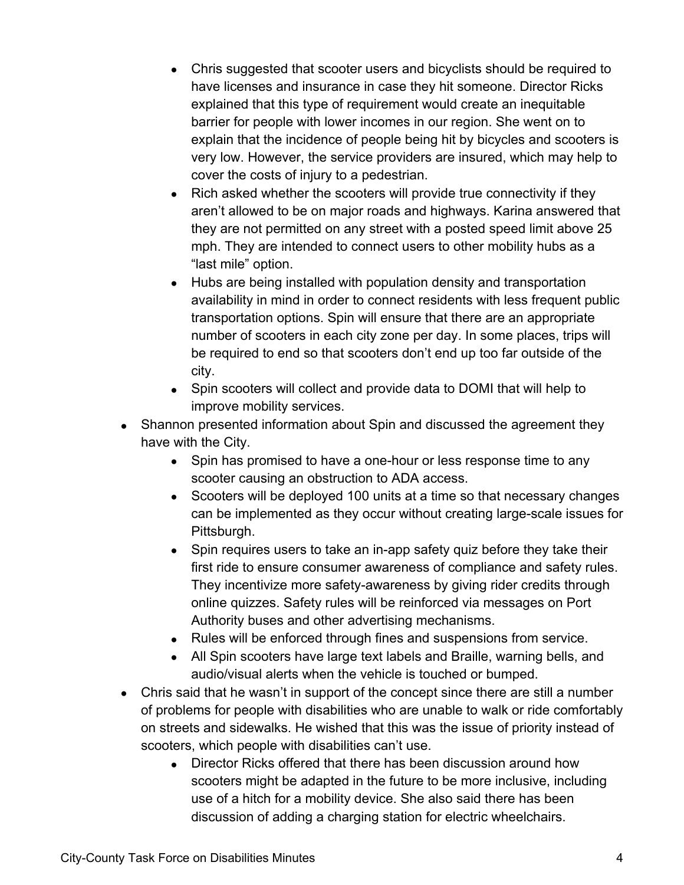- Chris suggested that scooter users and bicyclists should be required to have licenses and insurance in case they hit someone. Director Ricks explained that this type of requirement would create an inequitable barrier for people with lower incomes in our region. She went on to explain that the incidence of people being hit by bicycles and scooters is very low. However, the service providers are insured, which may help to cover the costs of injury to a pedestrian.
- Rich asked whether the scooters will provide true connectivity if they aren't allowed to be on major roads and highways. Karina answered that they are not permitted on any street with a posted speed limit above 25 mph. They are intended to connect users to other mobility hubs as a "last mile" option.
- Hubs are being installed with population density and transportation availability in mind in order to connect residents with less frequent public transportation options. Spin will ensure that there are an appropriate number of scooters in each city zone per day. In some places, trips will be required to end so that scooters don't end up too far outside of the city.
- Spin scooters will collect and provide data to DOMI that will help to improve mobility services.
- Shannon presented information about Spin and discussed the agreement they have with the City.
	- Spin has promised to have a one-hour or less response time to any scooter causing an obstruction to ADA access.
	- Scooters will be deployed 100 units at a time so that necessary changes can be implemented as they occur without creating large-scale issues for Pittsburgh.
	- Spin requires users to take an in-app safety quiz before they take their first ride to ensure consumer awareness of compliance and safety rules. They incentivize more safety-awareness by giving rider credits through online quizzes. Safety rules will be reinforced via messages on Port Authority buses and other advertising mechanisms.
	- Rules will be enforced through fines and suspensions from service.
	- All Spin scooters have large text labels and Braille, warning bells, and audio/visual alerts when the vehicle is touched or bumped.
- Chris said that he wasn't in support of the concept since there are still a number of problems for people with disabilities who are unable to walk or ride comfortably on streets and sidewalks. He wished that this was the issue of priority instead of scooters, which people with disabilities can't use.
	- Director Ricks offered that there has been discussion around how scooters might be adapted in the future to be more inclusive, including use of a hitch for a mobility device. She also said there has been discussion of adding a charging station for electric wheelchairs.